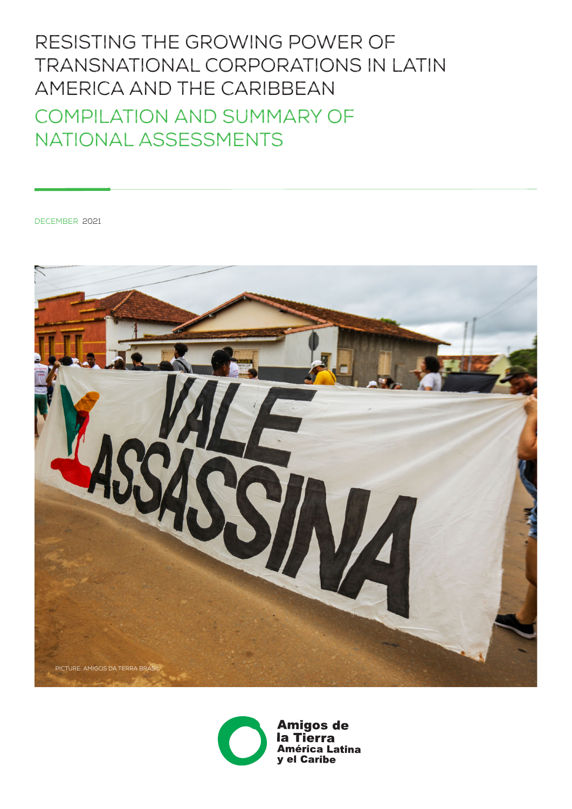# Resisting the Growing Power of Transnational Corporations in Latin America and the Caribbean Compilation and Summary of National Assessments

december 2021





**Amigos de** Tierra la l **América Latina** y el Caribe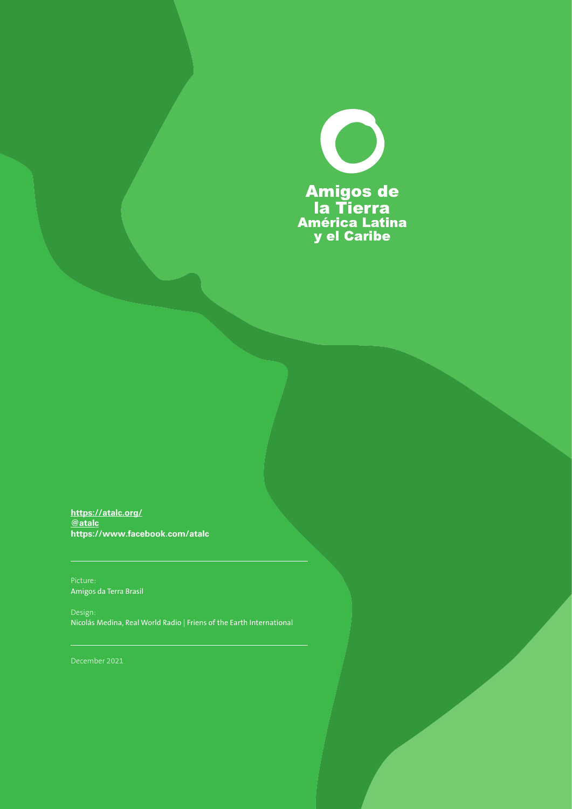

**https://atalc.org[/](https://atalc.org/) [@atalc](https://twitter.com/atalc) <https://www.facebook.com/atalc>**

Amigos da Terra Brasil

Design: Nicolás Medina, Real World Radio | Friens of the Earth International

December 2021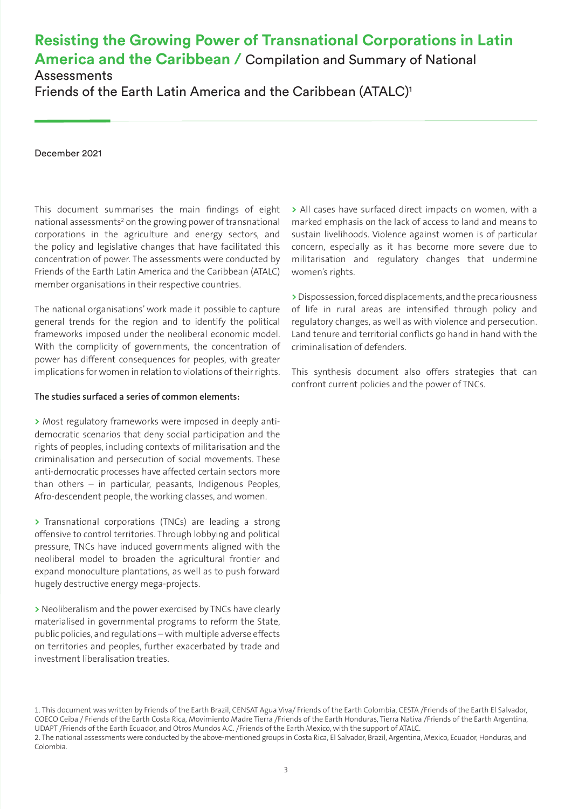### **Resisting the Growing Power of Transnational Corporations in Latin America and the Caribbean /** Compilation and Summary of National **Assessments**

Friends of the Earth Latin America and the Caribbean (ATALC)<sup>1</sup>

December 2021

This document summarises the main findings of eight national assessments<sup>2</sup> on the growing power of transnational corporations in the agriculture and energy sectors, and the policy and legislative changes that have facilitated this concentration of power. The assessments were conducted by Friends of the Earth Latin America and the Caribbean (ATALC) member organisations in their respective countries.

The national organisations' work made it possible to capture general trends for the region and to identify the political frameworks imposed under the neoliberal economic model. With the complicity of governments, the concentration of power has different consequences for peoples, with greater implications for women in relation to violations of their rights.

#### **The studies surfaced a series of common elements:**

**>** Most regulatory frameworks were imposed in deeply antidemocratic scenarios that deny social participation and the rights of peoples, including contexts of militarisation and the criminalisation and persecution of social movements. These anti-democratic processes have affected certain sectors more than others – in particular, peasants, Indigenous Peoples, Afro-descendent people, the working classes, and women.

**>** Transnational corporations (TNCs) are leading a strong offensive to control territories. Through lobbying and political pressure, TNCs have induced governments aligned with the neoliberal model to broaden the agricultural frontier and expand monoculture plantations, as well as to push forward hugely destructive energy mega-projects.

**>** Neoliberalism and the power exercised by TNCs have clearly materialised in governmental programs to reform the State, public policies, and regulations – with multiple adverse effects on territories and peoples, further exacerbated by trade and investment liberalisation treaties.

**>** All cases have surfaced direct impacts on women, with a marked emphasis on the lack of access to land and means to sustain livelihoods. Violence against women is of particular concern, especially as it has become more severe due to militarisation and regulatory changes that undermine women's rights.

**>** Dispossession, forced displacements, and the precariousness of life in rural areas are intensified through policy and regulatory changes, as well as with violence and persecution. Land tenure and territorial conflicts go hand in hand with the criminalisation of defenders.

This synthesis document also offers strategies that can confront current policies and the power of TNCs.

<sup>1.</sup> This document was written by Friends of the Earth Brazil, CENSAT Agua Viva/ Friends of the Earth Colombia, CESTA /Friends of the Earth El Salvador, COECO Ceiba / Friends of the Earth Costa Rica, Movimiento Madre Tierra /Friends of the Earth Honduras, Tierra Nativa /Friends of the Earth Argentina, UDAPT /Friends of the Earth Ecuador, and Otros Mundos A.C. /Friends of the Earth Mexico, with the support of ATALC. 2. The national assessments were conducted by the above-mentioned groups in Costa Rica, El Salvador, Brazil, Argentina, Mexico, Ecuador, Honduras, and Colombia.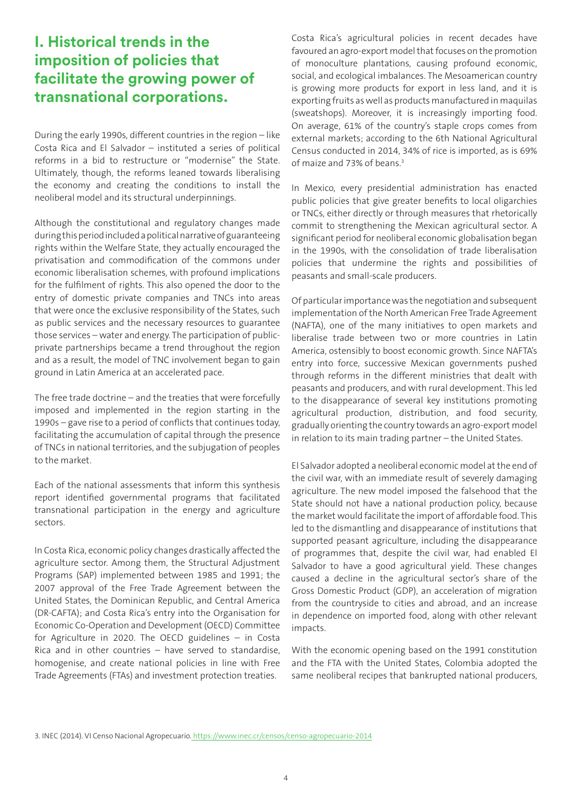### **I. Historical trends in the imposition of policies that facilitate the growing power of transnational corporations.**

During the early 1990s, different countries in the region – like Costa Rica and El Salvador – instituted a series of political reforms in a bid to restructure or "modernise" the State. Ultimately, though, the reforms leaned towards liberalising the economy and creating the conditions to install the neoliberal model and its structural underpinnings.

Although the constitutional and regulatory changes made during this period included a political narrative of guaranteeing rights within the Welfare State, they actually encouraged the privatisation and commodification of the commons under economic liberalisation schemes, with profound implications for the fulfilment of rights. This also opened the door to the entry of domestic private companies and TNCs into areas that were once the exclusive responsibility of the States, such as public services and the necessary resources to guarantee those services – water and energy. The participation of publicprivate partnerships became a trend throughout the region and as a result, the model of TNC involvement began to gain ground in Latin America at an accelerated pace.

The free trade doctrine – and the treaties that were forcefully imposed and implemented in the region starting in the 1990s – gave rise to a period of conflicts that continues today, facilitating the accumulation of capital through the presence of TNCs in national territories, and the subjugation of peoples to the market.

Each of the national assessments that inform this synthesis report identified governmental programs that facilitated transnational participation in the energy and agriculture sectors.

In Costa Rica, economic policy changes drastically affected the agriculture sector. Among them, the Structural Adjustment Programs (SAP) implemented between 1985 and 1991; the 2007 approval of the Free Trade Agreement between the United States, the Dominican Republic, and Central America (DR-CAFTA); and Costa Rica's entry into the Organisation for Economic Co-Operation and Development (OECD) Committee for Agriculture in 2020. The OECD guidelines – in Costa Rica and in other countries – have served to standardise, homogenise, and create national policies in line with Free Trade Agreements (FTAs) and investment protection treaties.

Costa Rica's agricultural policies in recent decades have favoured an agro-export model that focuses on the promotion of monoculture plantations, causing profound economic, social, and ecological imbalances. The Mesoamerican country is growing more products for export in less land, and it is exporting fruits as well as products manufactured in maquilas (sweatshops). Moreover, it is increasingly importing food. On average, 61% of the country's staple crops comes from external markets; according to the 6th National Agricultural Census conducted in 2014, 34% of rice is imported, as is 69% of maize and 73% of beans.<sup>3</sup>

In Mexico, every presidential administration has enacted public policies that give greater benefits to local oligarchies or TNCs, either directly or through measures that rhetorically commit to strengthening the Mexican agricultural sector. A significant period for neoliberal economic globalisation began in the 1990s, with the consolidation of trade liberalisation policies that undermine the rights and possibilities of peasants and small-scale producers.

Of particular importance was the negotiation and subsequent implementation of the North American Free Trade Agreement (NAFTA), one of the many initiatives to open markets and liberalise trade between two or more countries in Latin America, ostensibly to boost economic growth. Since NAFTA's entry into force, successive Mexican governments pushed through reforms in the different ministries that dealt with peasants and producers, and with rural development. This led to the disappearance of several key institutions promoting agricultural production, distribution, and food security, gradually orienting the country towards an agro-export model in relation to its main trading partner – the United States.

El Salvador adopted a neoliberal economic model at the end of the civil war, with an immediate result of severely damaging agriculture. The new model imposed the falsehood that the State should not have a national production policy, because the market would facilitate the import of affordable food. This led to the dismantling and disappearance of institutions that supported peasant agriculture, including the disappearance of programmes that, despite the civil war, had enabled El Salvador to have a good agricultural yield. These changes caused a decline in the agricultural sector's share of the Gross Domestic Product (GDP), an acceleration of migration from the countryside to cities and abroad, and an increase in dependence on imported food, along with other relevant impacts.

With the economic opening based on the 1991 constitution and the FTA with the United States, Colombia adopted the same neoliberal recipes that bankrupted national producers,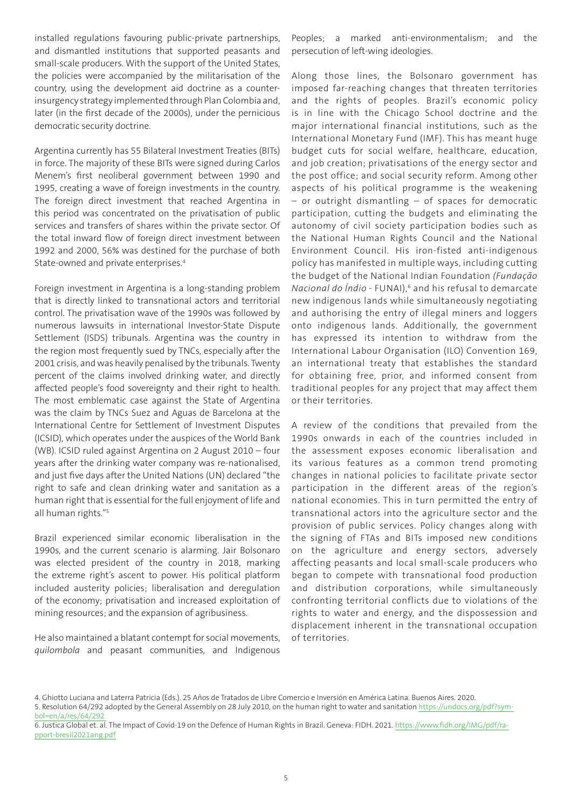installed regulations favouring public-private partnerships, and dismantled institutions that supported peasants and small-scale producers. With the support of the United States, the policies were accompanied by the militarisation of the country, using the development aid doctrine as a counterinsurgency strategy implemented through Plan Colombia and, later (in the first decade of the 2000s), under the pernicious democratic security doctrine.

Argentina currently has 55 Bilateral Investment Treaties (BITs) in force. The majority of these BITs were signed during Carlos Menem's first neoliberal government between 1990 and 1995, creating a wave of foreign investments in the country. The foreign direct investment that reached Argentina in this period was concentrated on the privatisation of public services and transfers of shares within the private sector. Of the total inward flow of foreign direct investment between 1992 and 2000, 56% was destined for the purchase of both State-owned and private enterprises.4

Foreign investment in Argentina is a long-standing problem that is directly linked to transnational actors and territorial control. The privatisation wave of the 1990s was followed by numerous lawsuits in international Investor-State Dispute Settlement (ISDS) tribunals. Argentina was the country in the region most frequently sued by TNCs, especially after the 2001 crisis, and was heavily penalised by the tribunals. Twenty percent of the claims involved drinking water, and directly affected people's food sovereignty and their right to health. The most emblematic case against the State of Argentina was the claim by TNCs Suez and Aguas de Barcelona at the International Centre for Settlement of Investment Disputes (ICSID), which operates under the auspices of the World Bank (WB). ICSID ruled against Argentina on 2 August 2010 – four years after the drinking water company was re-nationalised, and just five days after the United Nations (UN) declared "the right to safe and clean drinking water and sanitation as a human right that is essential for the full enjoyment of life and all human rights."5

Brazil experienced similar economic liberalisation in the 1990s, and the current scenario is alarming. Jair Bolsonaro was elected president of the country in 2018, marking the extreme right's ascent to power. His political platform included austerity policies; liberalisation and deregulation of the economy; privatisation and increased exploitation of mining resources; and the expansion of agribusiness.

He also maintained a blatant contempt for social movements, *quilombola* and peasant communities, and Indigenous

Peoples; a marked anti-environmentalism; and the persecution of left-wing ideologies.

Along those lines, the Bolsonaro government has imposed far-reaching changes that threaten territories and the rights of peoples. Brazil's economic policy is in line with the Chicago School doctrine and the major international financial institutions, such as the International Monetary Fund (IMF). This has meant huge budget cuts for social welfare, healthcare, education, and job creation; privatisations of the energy sector and the post office; and social security reform. Among other aspects of his political programme is the weakening – or outright dismantling – of spaces for democratic participation, cutting the budgets and eliminating the autonomy of civil society participation bodies such as the National Human Rights Council and the National Environment Council. His iron-fisted anti-indigenous policy has manifested in multiple ways, including cutting the budget of the National Indian Foundation *(Fundação Nacional do Índio* - FUNAI),6 and his refusal to demarcate new indigenous lands while simultaneously negotiating and authorising the entry of illegal miners and loggers onto indigenous lands. Additionally, the government has expressed its intention to withdraw from the International Labour Organisation (ILO) Convention 169, an international treaty that establishes the standard for obtaining free, prior, and informed consent from traditional peoples for any project that may affect them or their territories.

A review of the conditions that prevailed from the 1990s onwards in each of the countries included in the assessment exposes economic liberalisation and its various features as a common trend promoting changes in national policies to facilitate private sector participation in the different areas of the region's national economies. This in turn permitted the entry of transnational actors into the agriculture sector and the provision of public services. Policy changes along with the signing of FTAs and BITs imposed new conditions on the agriculture and energy sectors, adversely affecting peasants and local small-scale producers who began to compete with transnational food production and distribution corporations, while simultaneously confronting territorial conflicts due to violations of the rights to water and energy, and the dispossession and displacement inherent in the transnational occupation of territories.

<sup>4.</sup> Ghiotto Luciana and Laterra Patricia (Eds.). 25 Años de Tratados de Libre Comercio e Inversión en América Latina. Buenos Aires. 2020. 5. Resolution 64/292 adopted by the General Assembly on 28 July 2010, on the human right to water and sanitation [https://undocs.org/pdf?sym-](https://undocs.org/pdf?symbol=en/a/res/64/292)

[bol=en/a/res/64/292](https://undocs.org/pdf?symbol=en/a/res/64/292) 

<sup>6.</sup> Justica Global et. al. The Impact of Covid-19 on the Defence of Human Rights in Brazil. Geneva: FIDH. 2021. [https://www.fidh.org/IMG/pdf/ra](https://www.fidh.org/IMG/pdf/rapport-bresil2021ang.pdf)[pport-bresil2021ang.pdf](https://www.fidh.org/IMG/pdf/rapport-bresil2021ang.pdf)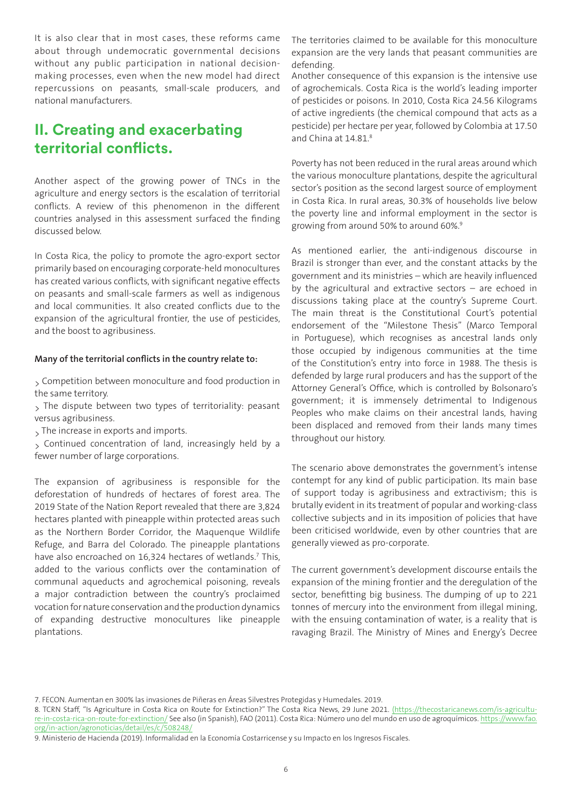It is also clear that in most cases, these reforms came about through undemocratic governmental decisions without any public participation in national decisionmaking processes, even when the new model had direct repercussions on peasants, small-scale producers, and national manufacturers.

# **II. Creating and exacerbating territorial conflicts.**

Another aspect of the growing power of TNCs in the agriculture and energy sectors is the escalation of territorial conflicts. A review of this phenomenon in the different countries analysed in this assessment surfaced the finding discussed below.

In Costa Rica, the policy to promote the agro-export sector primarily based on encouraging corporate-held monocultures has created various conflicts, with significant negative effects on peasants and small-scale farmers as well as indigenous and local communities. It also created conflicts due to the expansion of the agricultural frontier, the use of pesticides, and the boost to agribusiness.

#### **Many of the territorial conflicts in the country relate to:**

> Competition between monoculture and food production in the same territory.

> The dispute between two types of territoriality: peasant versus agribusiness.

> The increase in exports and imports.

> Continued concentration of land, increasingly held by a fewer number of large corporations.

The expansion of agribusiness is responsible for the deforestation of hundreds of hectares of forest area. The 2019 State of the Nation Report revealed that there are 3,824 hectares planted with pineapple within protected areas such as the Northern Border Corridor, the Maquenque Wildlife Refuge, and Barra del Colorado. The pineapple plantations have also encroached on 16,324 hectares of wetlands.<sup>7</sup> This, added to the various conflicts over the contamination of communal aqueducts and agrochemical poisoning, reveals a major contradiction between the country's proclaimed vocation for nature conservation and the production dynamics of expanding destructive monocultures like pineapple plantations.

The territories claimed to be available for this monoculture expansion are the very lands that peasant communities are defending.

Another consequence of this expansion is the intensive use of agrochemicals. Costa Rica is the world's leading importer of pesticides or poisons. In 2010, Costa Rica 24.56 Kilograms of active ingredients (the chemical compound that acts as a pesticide) per hectare per year, followed by Colombia at 17.50 and China at 14.81.8

Poverty has not been reduced in the rural areas around which the various monoculture plantations, despite the agricultural sector's position as the second largest source of employment in Costa Rica. In rural areas, 30.3% of households live below the poverty line and informal employment in the sector is growing from around 50% to around 60%.9

As mentioned earlier, the anti-indigenous discourse in Brazil is stronger than ever, and the constant attacks by the government and its ministries – which are heavily influenced by the agricultural and extractive sectors – are echoed in discussions taking place at the country's Supreme Court. The main threat is the Constitutional Court's potential endorsement of the "Milestone Thesis" (Marco Temporal in Portuguese), which recognises as ancestral lands only those occupied by indigenous communities at the time of the Constitution's entry into force in 1988. The thesis is defended by large rural producers and has the support of the Attorney General's Office, which is controlled by Bolsonaro's government; it is immensely detrimental to Indigenous Peoples who make claims on their ancestral lands, having been displaced and removed from their lands many times throughout our history.

The scenario above demonstrates the government's intense contempt for any kind of public participation. Its main base of support today is agribusiness and extractivism; this is brutally evident in its treatment of popular and working-class collective subjects and in its imposition of policies that have been criticised worldwide, even by other countries that are generally viewed as pro-corporate.

The current government's development discourse entails the expansion of the mining frontier and the deregulation of the sector, benefitting big business. The dumping of up to 221 tonnes of mercury into the environment from illegal mining, with the ensuing contamination of water, is a reality that is ravaging Brazil. The Ministry of Mines and Energy's Decree

8. TCRN Staff, "Is Agriculture in Costa Rica on Route for Extinction?" The Costa Rica News, 29 June 2021. [\(https://thecostaricanews.com/is-agricultu](https://thecostaricanews.com/is-agriculture-in-costa-rica-on-route-for-extinction/)[re-in-costa-rica-on-route-for-extinction/](https://thecostaricanews.com/is-agriculture-in-costa-rica-on-route-for-extinction/) See also (in Spanish), FAO (2011). Costa Rica: Número uno del mundo en uso de agroquímicos. [https://www.fao.](https://www.fao.org/in-action/agronoticias/detail/es/c/508248/) [org/in-action/agronoticias/detail/es/c/508248/](https://www.fao.org/in-action/agronoticias/detail/es/c/508248/)

<sup>7.</sup> FECON. Aumentan en 300% las invasiones de Piñeras en Áreas Silvestres Protegidas y Humedales. 2019.

<sup>9.</sup> Ministerio de Hacienda (2019). Informalidad en la Economía Costarricense y su Impacto en los Ingresos Fiscales.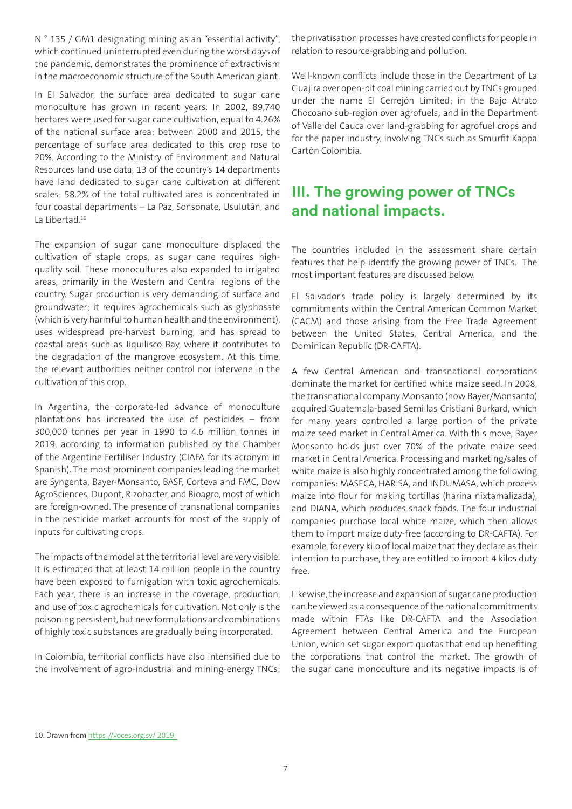N ° 135 / GM1 designating mining as an "essential activity", which continued uninterrupted even during the worst days of the pandemic, demonstrates the prominence of extractivism in the macroeconomic structure of the South American giant.

In El Salvador, the surface area dedicated to sugar cane monoculture has grown in recent years. In 2002, 89,740 hectares were used for sugar cane cultivation, equal to 4.26% of the national surface area; between 2000 and 2015, the percentage of surface area dedicated to this crop rose to 20%. According to the Ministry of Environment and Natural Resources land use data, 13 of the country's 14 departments have land dedicated to sugar cane cultivation at different scales; 58.2% of the total cultivated area is concentrated in four coastal departments – La Paz, Sonsonate, Usulután, and La Libertad<sup>10</sup>

The expansion of sugar cane monoculture displaced the cultivation of staple crops, as sugar cane requires highquality soil. These monocultures also expanded to irrigated areas, primarily in the Western and Central regions of the country. Sugar production is very demanding of surface and groundwater; it requires agrochemicals such as glyphosate (which is very harmful to human health and the environment), uses widespread pre-harvest burning, and has spread to coastal areas such as Jiquilisco Bay, where it contributes to the degradation of the mangrove ecosystem. At this time, the relevant authorities neither control nor intervene in the cultivation of this crop.

In Argentina, the corporate-led advance of monoculture plantations has increased the use of pesticides – from 300,000 tonnes per year in 1990 to 4.6 million tonnes in 2019, according to information published by the Chamber of the Argentine Fertiliser Industry (CIAFA for its acronym in Spanish). The most prominent companies leading the market are Syngenta, Bayer-Monsanto, BASF, Corteva and FMC, Dow AgroSciences, Dupont, Rizobacter, and Bioagro, most of which are foreign-owned. The presence of transnational companies in the pesticide market accounts for most of the supply of inputs for cultivating crops.

The impacts of the model at the territorial level are very visible. It is estimated that at least 14 million people in the country have been exposed to fumigation with toxic agrochemicals. Each year, there is an increase in the coverage, production, and use of toxic agrochemicals for cultivation. Not only is the poisoning persistent, but new formulations and combinations of highly toxic substances are gradually being incorporated.

In Colombia, territorial conflicts have also intensified due to the involvement of agro-industrial and mining-energy TNCs; the privatisation processes have created conflicts for people in relation to resource-grabbing and pollution.

Well-known conflicts include those in the Department of La Guajira over open-pit coal mining carried out by TNCs grouped under the name El Cerrejón Limited; in the Bajo Atrato Chocoano sub-region over agrofuels; and in the Department of Valle del Cauca over land-grabbing for agrofuel crops and for the paper industry, involving TNCs such as Smurfit Kappa Cartón Colombia.

### **III. The growing power of TNCs and national impacts.**

The countries included in the assessment share certain features that help identify the growing power of TNCs. The most important features are discussed below.

El Salvador's trade policy is largely determined by its commitments within the Central American Common Market (CACM) and those arising from the Free Trade Agreement between the United States, Central America, and the Dominican Republic (DR-CAFTA).

A few Central American and transnational corporations dominate the market for certified white maize seed. In 2008, the transnational company Monsanto (now Bayer/Monsanto) acquired Guatemala-based Semillas Cristiani Burkard, which for many years controlled a large portion of the private maize seed market in Central America. With this move, Bayer Monsanto holds just over 70% of the private maize seed market in Central America. Processing and marketing/sales of white maize is also highly concentrated among the following companies: MASECA, HARISA, and INDUMASA, which process maize into flour for making tortillas (harina nixtamalizada), and DIANA, which produces snack foods. The four industrial companies purchase local white maize, which then allows them to import maize duty-free (according to DR-CAFTA). For example, for every kilo of local maize that they declare as their intention to purchase, they are entitled to import 4 kilos duty free.

Likewise, the increase and expansion of sugar cane production can be viewed as a consequence of the national commitments made within FTAs like DR-CAFTA and the Association Agreement between Central America and the European Union, which set sugar export quotas that end up benefiting the corporations that control the market. The growth of the sugar cane monoculture and its negative impacts is of

<sup>10.</sup> Drawn from [https://voces.org.sv/ 2019.](https://voces.org.sv/)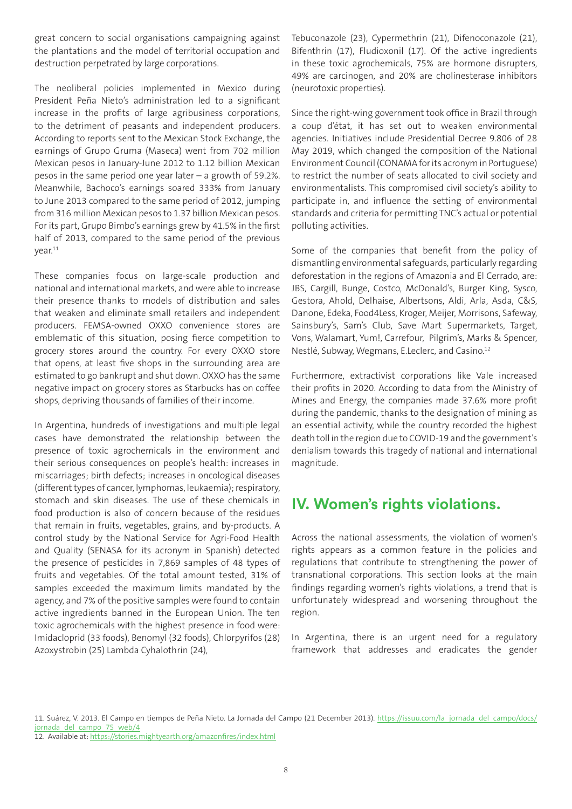great concern to social organisations campaigning against the plantations and the model of territorial occupation and destruction perpetrated by large corporations.

The neoliberal policies implemented in Mexico during President Peña Nieto's administration led to a significant increase in the profits of large agribusiness corporations, to the detriment of peasants and independent producers. According to reports sent to the Mexican Stock Exchange, the earnings of Grupo Gruma (Maseca) went from 702 million Mexican pesos in January-June 2012 to 1.12 billion Mexican pesos in the same period one year later – a growth of 59.2%. Meanwhile, Bachoco's earnings soared 333% from January to June 2013 compared to the same period of 2012, jumping from 316 million Mexican pesos to 1.37 billion Mexican pesos. For its part, Grupo Bimbo's earnings grew by 41.5% in the first half of 2013, compared to the same period of the previous year.11

These companies focus on large-scale production and national and international markets, and were able to increase their presence thanks to models of distribution and sales that weaken and eliminate small retailers and independent producers. FEMSA-owned OXXO convenience stores are emblematic of this situation, posing fierce competition to grocery stores around the country. For every OXXO store that opens, at least five shops in the surrounding area are estimated to go bankrupt and shut down. OXXO has the same negative impact on grocery stores as Starbucks has on coffee shops, depriving thousands of families of their income.

In Argentina, hundreds of investigations and multiple legal cases have demonstrated the relationship between the presence of toxic agrochemicals in the environment and their serious consequences on people's health: increases in miscarriages; birth defects; increases in oncological diseases (different types of cancer, lymphomas, leukaemia); respiratory, stomach and skin diseases. The use of these chemicals in food production is also of concern because of the residues that remain in fruits, vegetables, grains, and by-products. A control study by the National Service for Agri-Food Health and Quality (SENASA for its acronym in Spanish) detected the presence of pesticides in 7,869 samples of 48 types of fruits and vegetables. Of the total amount tested, 31% of samples exceeded the maximum limits mandated by the agency, and 7% of the positive samples were found to contain active ingredients banned in the European Union. The ten toxic agrochemicals with the highest presence in food were: Imidacloprid (33 foods), Benomyl (32 foods), Chlorpyrifos (28) Azoxystrobin (25) Lambda Cyhalothrin (24),

Tebuconazole (23), Cypermethrin (21), Difenoconazole (21), Bifenthrin (17), Fludioxonil (17). Of the active ingredients in these toxic agrochemicals, 75% are hormone disrupters, 49% are carcinogen, and 20% are cholinesterase inhibitors (neurotoxic properties).

Since the right-wing government took office in Brazil through a coup d'état, it has set out to weaken environmental agencies. Initiatives include Presidential Decree 9.806 of 28 May 2019, which changed the composition of the National Environment Council (CONAMA for its acronym in Portuguese) to restrict the number of seats allocated to civil society and environmentalists. This compromised civil society's ability to participate in, and influence the setting of environmental standards and criteria for permitting TNC's actual or potential polluting activities.

Some of the companies that benefit from the policy of dismantling environmental safeguards, particularly regarding deforestation in the regions of Amazonia and El Cerrado, are: JBS, Cargill, Bunge, Costco, McDonald's, Burger King, Sysco, Gestora, Ahold, Delhaise, Albertsons, Aldi, Arla, Asda, C&S, Danone, Edeka, Food4Less, Kroger, Meijer, Morrisons, Safeway, Sainsbury's, Sam's Club, Save Mart Supermarkets, Target, Vons, Walamart, Yum!, Carrefour, Pilgrim's, Marks & Spencer, Nestlé, Subway, Wegmans, E.Leclerc, and Casino.12

Furthermore, extractivist corporations like Vale increased their profits in 2020. According to data from the Ministry of Mines and Energy, the companies made 37.6% more profit during the pandemic, thanks to the designation of mining as an essential activity, while the country recorded the highest death toll in the region due to COVID-19 and the government's denialism towards this tragedy of national and international magnitude.

# **IV. Women's rights violations.**

Across the national assessments, the violation of women's rights appears as a common feature in the policies and regulations that contribute to strengthening the power of transnational corporations. This section looks at the main findings regarding women's rights violations, a trend that is unfortunately widespread and worsening throughout the region.

In Argentina, there is an urgent need for a regulatory framework that addresses and eradicates the gender

11. Suárez, V. 2013. El Campo en tiempos de Peña Nieto. La Jornada del Campo (21 December 2013). [https://issuu.com/la\\_jornada\\_del\\_campo/docs/](https://issuu.com/la_jornada_del_campo/docs/jornada_del_campo_75_web/4) jornada del campo 75 web/4

12. Available at: <https://stories.mightyearth.org/amazonfires/index.html>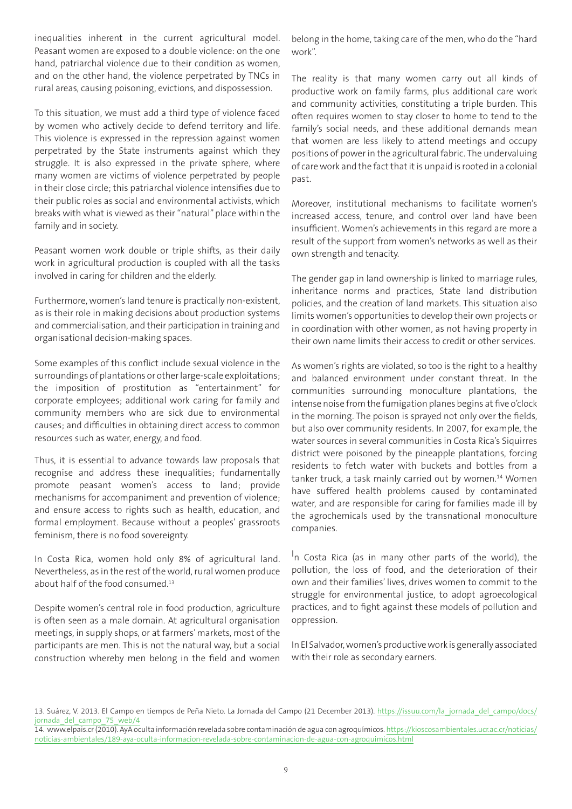inequalities inherent in the current agricultural model. Peasant women are exposed to a double violence: on the one hand, patriarchal violence due to their condition as women, and on the other hand, the violence perpetrated by TNCs in rural areas, causing poisoning, evictions, and dispossession.

To this situation, we must add a third type of violence faced by women who actively decide to defend territory and life. This violence is expressed in the repression against women perpetrated by the State instruments against which they struggle. It is also expressed in the private sphere, where many women are victims of violence perpetrated by people in their close circle; this patriarchal violence intensifies due to their public roles as social and environmental activists, which breaks with what is viewed as their "natural" place within the family and in society.

Peasant women work double or triple shifts, as their daily work in agricultural production is coupled with all the tasks involved in caring for children and the elderly.

Furthermore, women's land tenure is practically non-existent, as is their role in making decisions about production systems and commercialisation, and their participation in training and organisational decision-making spaces.

Some examples of this conflict include sexual violence in the surroundings of plantations or other large-scale exploitations; the imposition of prostitution as "entertainment" for corporate employees; additional work caring for family and community members who are sick due to environmental causes; and difficulties in obtaining direct access to common resources such as water, energy, and food.

Thus, it is essential to advance towards law proposals that recognise and address these inequalities; fundamentally promote peasant women's access to land; provide mechanisms for accompaniment and prevention of violence; and ensure access to rights such as health, education, and formal employment. Because without a peoples' grassroots feminism, there is no food sovereignty.

In Costa Rica, women hold only 8% of agricultural land. Nevertheless, as in the rest of the world, rural women produce about half of the food consumed.13

Despite women's central role in food production, agriculture is often seen as a male domain. At agricultural organisation meetings, in supply shops, or at farmers' markets, most of the participants are men. This is not the natural way, but a social construction whereby men belong in the field and women belong in the home, taking care of the men, who do the "hard work".

The reality is that many women carry out all kinds of productive work on family farms, plus additional care work and community activities, constituting a triple burden. This often requires women to stay closer to home to tend to the family's social needs, and these additional demands mean that women are less likely to attend meetings and occupy positions of power in the agricultural fabric. The undervaluing of care work and the fact that it is unpaid is rooted in a colonial past.

Moreover, institutional mechanisms to facilitate women's increased access, tenure, and control over land have been insufficient. Women's achievements in this regard are more a result of the support from women's networks as well as their own strength and tenacity.

The gender gap in land ownership is linked to marriage rules, inheritance norms and practices, State land distribution policies, and the creation of land markets. This situation also limits women's opportunities to develop their own projects or in coordination with other women, as not having property in their own name limits their access to credit or other services.

As women's rights are violated, so too is the right to a healthy and balanced environment under constant threat. In the communities surrounding monoculture plantations, the intense noise from the fumigation planes begins at five o'clock in the morning. The poison is sprayed not only over the fields, but also over community residents. In 2007, for example, the water sources in several communities in Costa Rica's Siquirres district were poisoned by the pineapple plantations, forcing residents to fetch water with buckets and bottles from a tanker truck, a task mainly carried out by women.<sup>14</sup> Women have suffered health problems caused by contaminated water, and are responsible for caring for families made ill by the agrochemicals used by the transnational monoculture companies.

In Costa Rica (as in many other parts of the world), the pollution, the loss of food, and the deterioration of their own and their families' lives, drives women to commit to the struggle for environmental justice, to adopt agroecological practices, and to fight against these models of pollution and oppression.

In El Salvador, women's productive work is generally associated with their role as secondary earners.

<sup>13.</sup> Suárez, V. 2013. El Campo en tiempos de Peña Nieto. La Jornada del Campo (21 December 2013). https://issuu.com/la jornada del campo/docs/ jornada del campo 75 web/4

<sup>14.</sup> www.elpais.cr (2010). AyA oculta información revelada sobre contaminación de agua con agroquímicos. [https://kioscosambientales.ucr.ac.cr/noticias/](https://kioscosambientales.ucr.ac.cr/noticias/noticias-ambientales/189-aya-oculta-informacion-revelada-sobre-contaminacion-de-agua-con-agroquimicos.html) [noticias-ambientales/189-aya-oculta-informacion-revelada-sobre-contaminacion-de-agua-con-agroquimicos.html](https://kioscosambientales.ucr.ac.cr/noticias/noticias-ambientales/189-aya-oculta-informacion-revelada-sobre-contaminacion-de-agua-con-agroquimicos.html)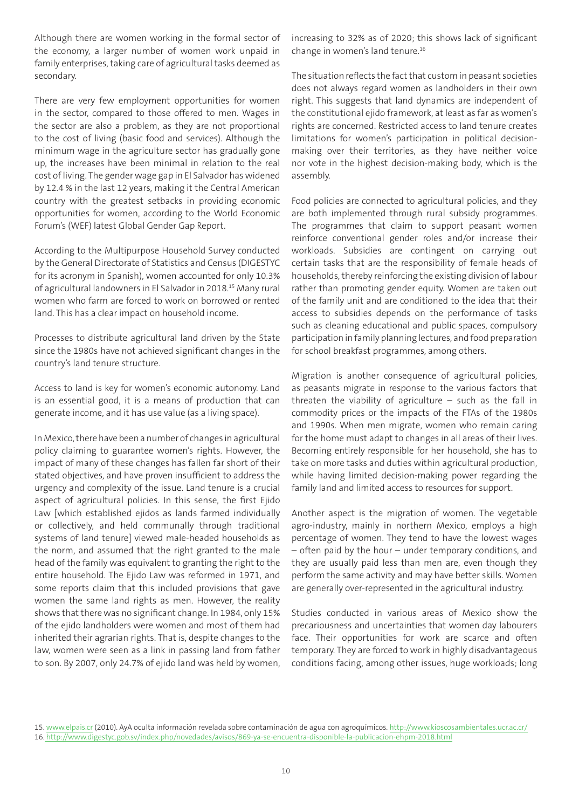Although there are women working in the formal sector of the economy, a larger number of women work unpaid in family enterprises, taking care of agricultural tasks deemed as secondary.

There are very few employment opportunities for women in the sector, compared to those offered to men. Wages in the sector are also a problem, as they are not proportional to the cost of living (basic food and services). Although the minimum wage in the agriculture sector has gradually gone up, the increases have been minimal in relation to the real cost of living. The gender wage gap in El Salvador has widened by 12.4 % in the last 12 years, making it the Central American country with the greatest setbacks in providing economic opportunities for women, according to the World Economic Forum's (WEF) latest Global Gender Gap Report.

According to the Multipurpose Household Survey conducted by the General Directorate of Statistics and Census (DIGESTYC for its acronym in Spanish), women accounted for only 10.3% of agricultural landowners in El Salvador in 2018.15 Many rural women who farm are forced to work on borrowed or rented land. This has a clear impact on household income.

Processes to distribute agricultural land driven by the State since the 1980s have not achieved significant changes in the country's land tenure structure.

Access to land is key for women's economic autonomy. Land is an essential good, it is a means of production that can generate income, and it has use value (as a living space).

In Mexico, there have been a number of changes in agricultural policy claiming to guarantee women's rights. However, the impact of many of these changes has fallen far short of their stated objectives, and have proven insufficient to address the urgency and complexity of the issue. Land tenure is a crucial aspect of agricultural policies. In this sense, the first Ejido Law [which established ejidos as lands farmed individually or collectively, and held communally through traditional systems of land tenure] viewed male-headed households as the norm, and assumed that the right granted to the male head of the family was equivalent to granting the right to the entire household. The Ejido Law was reformed in 1971, and some reports claim that this included provisions that gave women the same land rights as men. However, the reality shows that there was no significant change. In 1984, only 15% of the ejido landholders were women and most of them had inherited their agrarian rights. That is, despite changes to the law, women were seen as a link in passing land from father to son. By 2007, only 24.7% of ejido land was held by women,

increasing to 32% as of 2020; this shows lack of significant change in women's land tenure.16

The situation reflects the fact that custom in peasant societies does not always regard women as landholders in their own right. This suggests that land dynamics are independent of the constitutional ejido framework, at least as far as women's rights are concerned. Restricted access to land tenure creates limitations for women's participation in political decisionmaking over their territories, as they have neither voice nor vote in the highest decision-making body, which is the assembly.

Food policies are connected to agricultural policies, and they are both implemented through rural subsidy programmes. The programmes that claim to support peasant women reinforce conventional gender roles and/or increase their workloads. Subsidies are contingent on carrying out certain tasks that are the responsibility of female heads of households, thereby reinforcing the existing division of labour rather than promoting gender equity. Women are taken out of the family unit and are conditioned to the idea that their access to subsidies depends on the performance of tasks such as cleaning educational and public spaces, compulsory participation in family planning lectures, and food preparation for school breakfast programmes, among others.

Migration is another consequence of agricultural policies, as peasants migrate in response to the various factors that threaten the viability of agriculture  $-$  such as the fall in commodity prices or the impacts of the FTAs of the 1980s and 1990s. When men migrate, women who remain caring for the home must adapt to changes in all areas of their lives. Becoming entirely responsible for her household, she has to take on more tasks and duties within agricultural production, while having limited decision-making power regarding the family land and limited access to resources for support.

Another aspect is the migration of women. The vegetable agro-industry, mainly in northern Mexico, employs a high percentage of women. They tend to have the lowest wages – often paid by the hour – under temporary conditions, and they are usually paid less than men are, even though they perform the same activity and may have better skills. Women are generally over-represented in the agricultural industry.

Studies conducted in various areas of Mexico show the precariousness and uncertainties that women day labourers face. Their opportunities for work are scarce and often temporary. They are forced to work in highly disadvantageous conditions facing, among other issues, huge workloads; long

<sup>15.</sup> [www.elpais.cr](https://www.elpais.cr/) (2010). AyA oculta información revelada sobre contaminación de agua con agroquímicos. <http://www.kioscosambientales.ucr.ac.cr/> 16[. http://www.digestyc.gob.sv/index.php/novedades/avisos/869-ya-se-encuentra-disponible-la-publicacion-ehpm-2018.html](http://www.digestyc.gob.sv/index.php/novedades/avisos/869-ya-se-encuentra-disponible-la-publicacion-ehpm-2018.html)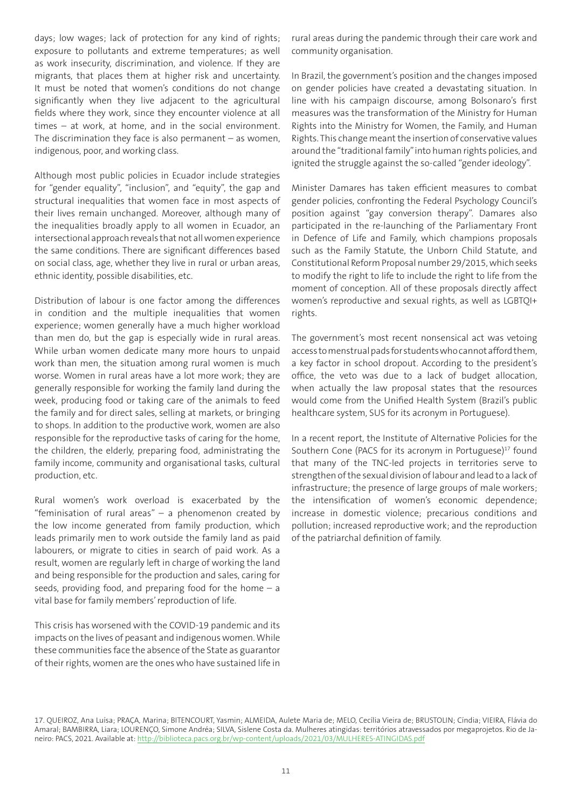days; low wages; lack of protection for any kind of rights; exposure to pollutants and extreme temperatures; as well as work insecurity, discrimination, and violence. If they are migrants, that places them at higher risk and uncertainty. It must be noted that women's conditions do not change significantly when they live adjacent to the agricultural fields where they work, since they encounter violence at all times – at work, at home, and in the social environment. The discrimination they face is also permanent  $-$  as women, indigenous, poor, and working class.

Although most public policies in Ecuador include strategies for "gender equality", "inclusion", and "equity", the gap and structural inequalities that women face in most aspects of their lives remain unchanged. Moreover, although many of the inequalities broadly apply to all women in Ecuador, an intersectional approach reveals that not all women experience the same conditions. There are significant differences based on social class, age, whether they live in rural or urban areas, ethnic identity, possible disabilities, etc.

Distribution of labour is one factor among the differences in condition and the multiple inequalities that women experience; women generally have a much higher workload than men do, but the gap is especially wide in rural areas. While urban women dedicate many more hours to unpaid work than men, the situation among rural women is much worse. Women in rural areas have a lot more work; they are generally responsible for working the family land during the week, producing food or taking care of the animals to feed the family and for direct sales, selling at markets, or bringing to shops. In addition to the productive work, women are also responsible for the reproductive tasks of caring for the home, the children, the elderly, preparing food, administrating the family income, community and organisational tasks, cultural production, etc.

Rural women's work overload is exacerbated by the "feminisation of rural areas"  $-$  a phenomenon created by the low income generated from family production, which leads primarily men to work outside the family land as paid labourers, or migrate to cities in search of paid work. As a result, women are regularly left in charge of working the land and being responsible for the production and sales, caring for seeds, providing food, and preparing food for the home  $-$  a vital base for family members' reproduction of life.

This crisis has worsened with the COVID-19 pandemic and its impacts on the lives of peasant and indigenous women. While these communities face the absence of the State as guarantor of their rights, women are the ones who have sustained life in

rural areas during the pandemic through their care work and community organisation.

In Brazil, the government's position and the changes imposed on gender policies have created a devastating situation. In line with his campaign discourse, among Bolsonaro's first measures was the transformation of the Ministry for Human Rights into the Ministry for Women, the Family, and Human Rights. This change meant the insertion of conservative values around the "traditional family" into human rights policies, and ignited the struggle against the so-called "gender ideology".

Minister Damares has taken efficient measures to combat gender policies, confronting the Federal Psychology Council's position against "gay conversion therapy". Damares also participated in the re-launching of the Parliamentary Front in Defence of Life and Family, which champions proposals such as the Family Statute, the Unborn Child Statute, and Constitutional Reform Proposal number 29/2015, which seeks to modify the right to life to include the right to life from the moment of conception. All of these proposals directly affect women's reproductive and sexual rights, as well as LGBTQI+ rights.

The government's most recent nonsensical act was vetoing access to menstrual pads for students who cannot afford them, a key factor in school dropout. According to the president's office, the veto was due to a lack of budget allocation, when actually the law proposal states that the resources would come from the Unified Health System (Brazil's public healthcare system, SUS for its acronym in Portuguese).

In a recent report, the Institute of Alternative Policies for the Southern Cone (PACS for its acronym in Portuguese)<sup>17</sup> found that many of the TNC-led projects in territories serve to strengthen of the sexual division of labour and lead to a lack of infrastructure; the presence of large groups of male workers; the intensification of women's economic dependence; increase in domestic violence; precarious conditions and pollution; increased reproductive work; and the reproduction of the patriarchal definition of family.

<sup>17.</sup> QUEIROZ, Ana Luísa; PRAÇA, Marina; BITENCOURT, Yasmin; ALMEIDA, Aulete Maria de; MELO, Cecília Vieira de; BRUSTOLIN; Cíndia; VIEIRA, Flávia do Amaral; BAMBIRRA, Liara; LOURENÇO, Simone Andréa; SILVA, Sislene Costa da. Mulheres atingidas: territórios atravessados por megaprojetos. Rio de Janeiro: PACS, 2021. Available at: <http://biblioteca.pacs.org.br/wp-content/uploads/2021/03/MULHERES-ATINGIDAS.pdf>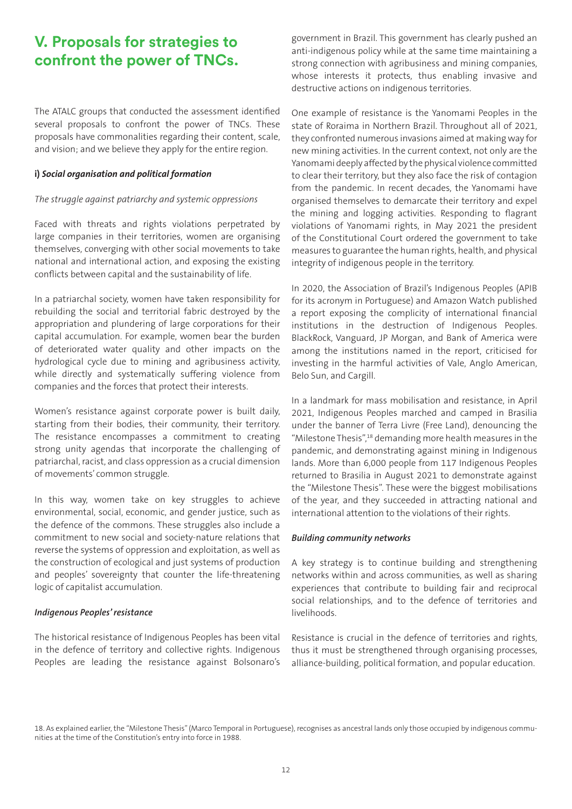### **V. Proposals for strategies to confront the power of TNCs.**

The ATALC groups that conducted the assessment identified several proposals to confront the power of TNCs. These proposals have commonalities regarding their content, scale, and vision; and we believe they apply for the entire region.

#### **i)** *Social organisation and political formation*

#### *The struggle against patriarchy and systemic oppressions*

Faced with threats and rights violations perpetrated by large companies in their territories, women are organising themselves, converging with other social movements to take national and international action, and exposing the existing conflicts between capital and the sustainability of life.

In a patriarchal society, women have taken responsibility for rebuilding the social and territorial fabric destroyed by the appropriation and plundering of large corporations for their capital accumulation. For example, women bear the burden of deteriorated water quality and other impacts on the hydrological cycle due to mining and agribusiness activity, while directly and systematically suffering violence from companies and the forces that protect their interests.

Women's resistance against corporate power is built daily, starting from their bodies, their community, their territory. The resistance encompasses a commitment to creating strong unity agendas that incorporate the challenging of patriarchal, racist, and class oppression as a crucial dimension of movements' common struggle.

In this way, women take on key struggles to achieve environmental, social, economic, and gender justice, such as the defence of the commons. These struggles also include a commitment to new social and society-nature relations that reverse the systems of oppression and exploitation, as well as the construction of ecological and just systems of production and peoples' sovereignty that counter the life-threatening logic of capitalist accumulation.

#### *Indigenous Peoples' resistance*

The historical resistance of Indigenous Peoples has been vital in the defence of territory and collective rights. Indigenous Peoples are leading the resistance against Bolsonaro's government in Brazil. This government has clearly pushed an anti-indigenous policy while at the same time maintaining a strong connection with agribusiness and mining companies, whose interests it protects, thus enabling invasive and destructive actions on indigenous territories.

One example of resistance is the Yanomami Peoples in the state of Roraima in Northern Brazil. Throughout all of 2021, they confronted numerous invasions aimed at making way for new mining activities. In the current context, not only are the Yanomami deeply affected by the physical violence committed to clear their territory, but they also face the risk of contagion from the pandemic. In recent decades, the Yanomami have organised themselves to demarcate their territory and expel the mining and logging activities. Responding to flagrant violations of Yanomami rights, in May 2021 the president of the Constitutional Court ordered the government to take measures to guarantee the human rights, health, and physical integrity of indigenous people in the territory.

In 2020, the Association of Brazil's Indigenous Peoples (APIB for its acronym in Portuguese) and Amazon Watch published a report exposing the complicity of international financial institutions in the destruction of Indigenous Peoples. BlackRock, Vanguard, JP Morgan, and Bank of America were among the institutions named in the report, criticised for investing in the harmful activities of Vale, Anglo American, Belo Sun, and Cargill.

In a landmark for mass mobilisation and resistance, in April 2021, Indigenous Peoples marched and camped in Brasilia under the banner of Terra Livre (Free Land), denouncing the "Milestone Thesis",18 demanding more health measures in the pandemic, and demonstrating against mining in Indigenous lands. More than 6,000 people from 117 Indigenous Peoples returned to Brasilia in August 2021 to demonstrate against the "Milestone Thesis". These were the biggest mobilisations of the year, and they succeeded in attracting national and international attention to the violations of their rights.

#### *Building community networks*

A key strategy is to continue building and strengthening networks within and across communities, as well as sharing experiences that contribute to building fair and reciprocal social relationships, and to the defence of territories and livelihoods.

Resistance is crucial in the defence of territories and rights, thus it must be strengthened through organising processes, alliance-building, political formation, and popular education.

<sup>18.</sup> As explained earlier, the "Milestone Thesis" (Marco Temporal in Portuguese), recognises as ancestral lands only those occupied by indigenous communities at the time of the Constitution's entry into force in 1988.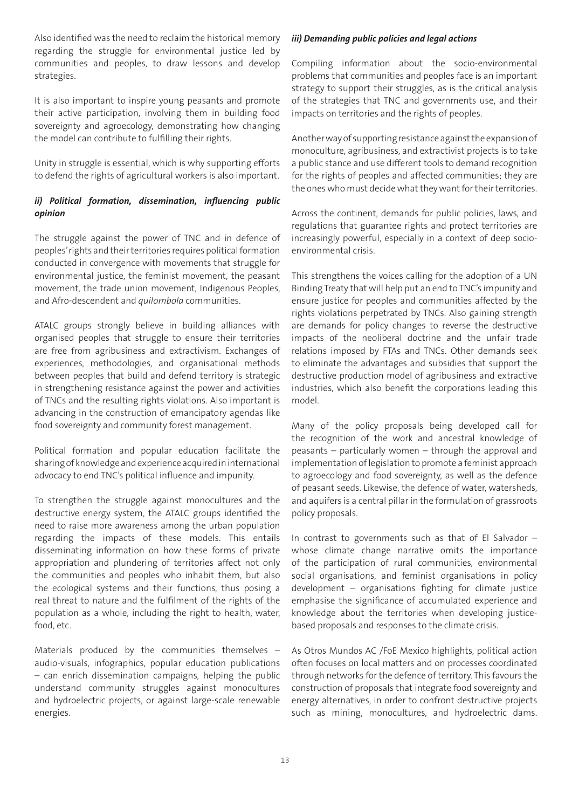Also identified was the need to reclaim the historical memory regarding the struggle for environmental justice led by communities and peoples, to draw lessons and develop strategies.

It is also important to inspire young peasants and promote their active participation, involving them in building food sovereignty and agroecology, demonstrating how changing the model can contribute to fulfilling their rights.

Unity in struggle is essential, which is why supporting efforts to defend the rights of agricultural workers is also important.

#### *ii) Political formation, dissemination, influencing public opinion*

The struggle against the power of TNC and in defence of peoples' rights and their territories requires political formation conducted in convergence with movements that struggle for environmental justice, the feminist movement, the peasant movement, the trade union movement, Indigenous Peoples, and Afro-descendent and *quilombola* communities.

ATALC groups strongly believe in building alliances with organised peoples that struggle to ensure their territories are free from agribusiness and extractivism. Exchanges of experiences, methodologies, and organisational methods between peoples that build and defend territory is strategic in strengthening resistance against the power and activities of TNCs and the resulting rights violations. Also important is advancing in the construction of emancipatory agendas like food sovereignty and community forest management.

Political formation and popular education facilitate the sharing of knowledge and experience acquired in international advocacy to end TNC's political influence and impunity.

To strengthen the struggle against monocultures and the destructive energy system, the ATALC groups identified the need to raise more awareness among the urban population regarding the impacts of these models. This entails disseminating information on how these forms of private appropriation and plundering of territories affect not only the communities and peoples who inhabit them, but also the ecological systems and their functions, thus posing a real threat to nature and the fulfilment of the rights of the population as a whole, including the right to health, water, food, etc.

Materials produced by the communities themselves – audio-visuals, infographics, popular education publications – can enrich dissemination campaigns, helping the public understand community struggles against monocultures and hydroelectric projects, or against large-scale renewable energies.

#### *iii) Demanding public policies and legal actions*

Compiling information about the socio-environmental problems that communities and peoples face is an important strategy to support their struggles, as is the critical analysis of the strategies that TNC and governments use, and their impacts on territories and the rights of peoples.

Another way of supporting resistance against the expansion of monoculture, agribusiness, and extractivist projects is to take a public stance and use different tools to demand recognition for the rights of peoples and affected communities; they are the ones who must decide what they want for their territories.

Across the continent, demands for public policies, laws, and regulations that guarantee rights and protect territories are increasingly powerful, especially in a context of deep socioenvironmental crisis.

This strengthens the voices calling for the adoption of a UN Binding Treaty that will help put an end to TNC's impunity and ensure justice for peoples and communities affected by the rights violations perpetrated by TNCs. Also gaining strength are demands for policy changes to reverse the destructive impacts of the neoliberal doctrine and the unfair trade relations imposed by FTAs and TNCs. Other demands seek to eliminate the advantages and subsidies that support the destructive production model of agribusiness and extractive industries, which also benefit the corporations leading this model.

Many of the policy proposals being developed call for the recognition of the work and ancestral knowledge of peasants – particularly women – through the approval and implementation of legislation to promote a feminist approach to agroecology and food sovereignty, as well as the defence of peasant seeds. Likewise, the defence of water, watersheds, and aquifers is a central pillar in the formulation of grassroots policy proposals.

In contrast to governments such as that of El Salvador – whose climate change narrative omits the importance of the participation of rural communities, environmental social organisations, and feminist organisations in policy development – organisations fighting for climate justice emphasise the significance of accumulated experience and knowledge about the territories when developing justicebased proposals and responses to the climate crisis.

As Otros Mundos AC /FoE Mexico highlights, political action often focuses on local matters and on processes coordinated through networks for the defence of territory. This favours the construction of proposals that integrate food sovereignty and energy alternatives, in order to confront destructive projects such as mining, monocultures, and hydroelectric dams.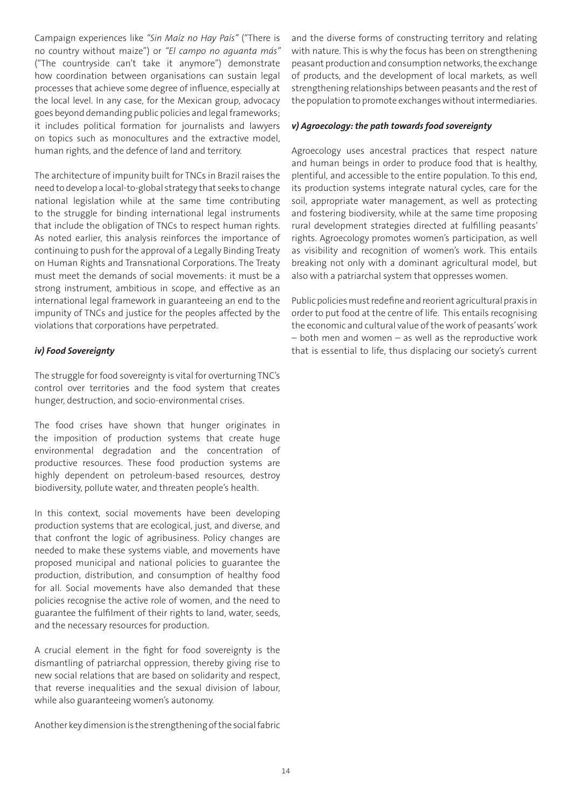Campaign experiences like *"Sin Maíz no Hay País"* ("There is no country without maize") or *"El campo no aguanta más"*  ("The countryside can't take it anymore") demonstrate how coordination between organisations can sustain legal processes that achieve some degree of influence, especially at the local level. In any case, for the Mexican group, advocacy goes beyond demanding public policies and legal frameworks; it includes political formation for journalists and lawyers on topics such as monocultures and the extractive model, human rights, and the defence of land and territory.

The architecture of impunity built for TNCs in Brazil raises the need to develop a local-to-global strategy that seeks to change national legislation while at the same time contributing to the struggle for binding international legal instruments that include the obligation of TNCs to respect human rights. As noted earlier, this analysis reinforces the importance of continuing to push for the approval of a Legally Binding Treaty on Human Rights and Transnational Corporations. The Treaty must meet the demands of social movements: it must be a strong instrument, ambitious in scope, and effective as an international legal framework in guaranteeing an end to the impunity of TNCs and justice for the peoples affected by the violations that corporations have perpetrated.

#### *iv) Food Sovereignty*

The struggle for food sovereignty is vital for overturning TNC's control over territories and the food system that creates hunger, destruction, and socio-environmental crises.

The food crises have shown that hunger originates in the imposition of production systems that create huge environmental degradation and the concentration of productive resources. These food production systems are highly dependent on petroleum-based resources, destroy biodiversity, pollute water, and threaten people's health.

In this context, social movements have been developing production systems that are ecological, just, and diverse, and that confront the logic of agribusiness. Policy changes are needed to make these systems viable, and movements have proposed municipal and national policies to guarantee the production, distribution, and consumption of healthy food for all. Social movements have also demanded that these policies recognise the active role of women, and the need to guarantee the fulfilment of their rights to land, water, seeds, and the necessary resources for production.

A crucial element in the fight for food sovereignty is the dismantling of patriarchal oppression, thereby giving rise to new social relations that are based on solidarity and respect, that reverse inequalities and the sexual division of labour, while also guaranteeing women's autonomy.

Another key dimension is the strengthening of the social fabric

and the diverse forms of constructing territory and relating with nature. This is why the focus has been on strengthening peasant production and consumption networks, the exchange of products, and the development of local markets, as well strengthening relationships between peasants and the rest of the population to promote exchanges without intermediaries.

#### *v) Agroecology: the path towards food sovereignty*

Agroecology uses ancestral practices that respect nature and human beings in order to produce food that is healthy, plentiful, and accessible to the entire population. To this end, its production systems integrate natural cycles, care for the soil, appropriate water management, as well as protecting and fostering biodiversity, while at the same time proposing rural development strategies directed at fulfilling peasants' rights. Agroecology promotes women's participation, as well as visibility and recognition of women's work. This entails breaking not only with a dominant agricultural model, but also with a patriarchal system that oppresses women.

Public policies must redefine and reorient agricultural praxis in order to put food at the centre of life. This entails recognising the economic and cultural value of the work of peasants' work – both men and women – as well as the reproductive work that is essential to life, thus displacing our society's current